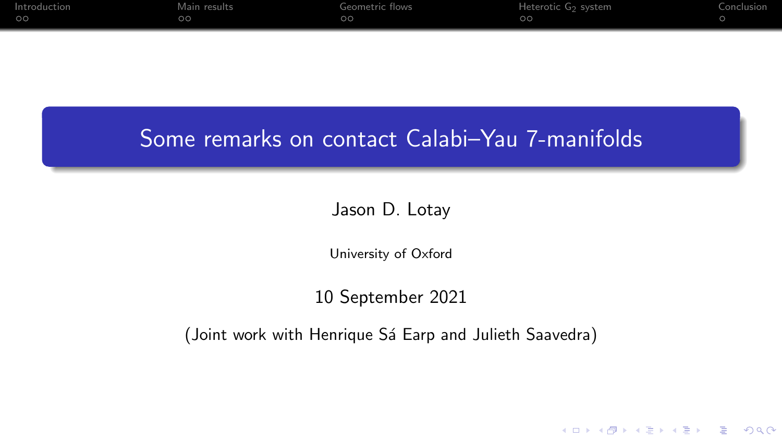| Introduction | Main results | Geometric flows | Heterotic G <sub>2</sub> system | Conclusion |
|--------------|--------------|-----------------|---------------------------------|------------|
| ററ           |              | oc              | $\circ$                         |            |

## Some remarks on contact Calabi–Yau 7-manifolds

#### Jason D. Lotay

University of Oxford

#### 10 September 2021

(Joint work with Henrique Sá Earp and Julieth Saavedra)

K ロ ▶ K @ ▶ K 할 ▶ K 할 ▶ 이 할 → 9 Q Q →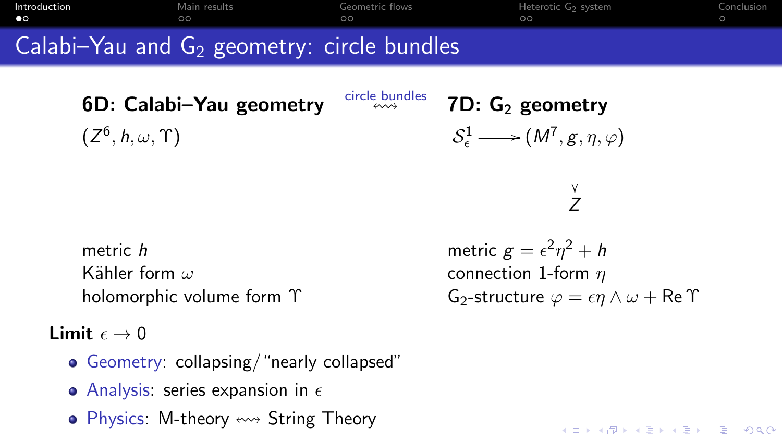<span id="page-1-0"></span>[Introduction](#page-1-0) [Main results](#page-3-0) [Geometric flows](#page-5-0) [Heterotic G](#page-7-0)2 system [Conclusion](#page-9-0) Calabi–Yau and  $G_2$  geometry: circle bundles

> 6D: Calabi–Yau geometry  $\frac{\text{circle}}{\longleftrightarrow}$   $\frac{7D}{2}$ : G<sub>2</sub> geometry  $(Z^6, h, \omega, \Upsilon)$  S

 $\psi^1_\epsilon \longrightarrow (M^7, g, \eta, \varphi)$ ľ Z

metric h metric  $g = \epsilon^2 \eta^2 + h$ Kähler form  $\omega$  connection 1-form  $\eta$ 

Limit  $\epsilon \to 0$ 

- Geometry: collapsing/"nearly collapsed"
- Analysis: series expansion in  $\epsilon$
- Physics: M-theory  $\leftrightarrow$  String Theory

holomorphic volume form  $\Upsilon$  G<sub>2</sub>-structure  $\varphi = \epsilon \eta \wedge \omega + \text{Re } \Upsilon$ 

K ロ ▶ K 個 ▶ K 할 ▶ K 할 ▶ 이 할 → 9 Q Q →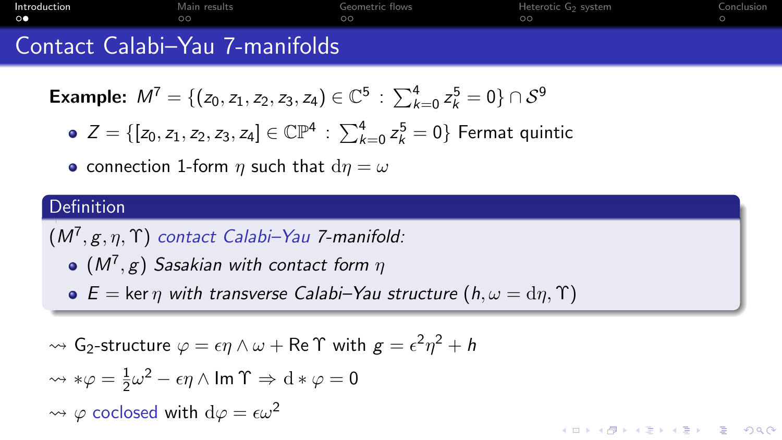| Introduction                                               | Main results | Geometric flows | Heterotic G <sub>2</sub> system | Conclusion |
|------------------------------------------------------------|--------------|-----------------|---------------------------------|------------|
| $\circ\bullet$                                             | 70.          |                 | $\circ$                         |            |
| $\sim$<br>$\sim$ $\sim$ $\sim$ $\sim$ $\sim$ $\sim$ $\sim$ | __           |                 |                                 |            |

### Contact Calabi–Yau *(*-manifolds

**Example:** 
$$
M^7 = \{(z_0, z_1, z_2, z_3, z_4) \in \mathbb{C}^5 : \sum_{k=0}^4 z_k^5 = 0\} \cap S^9
$$

• 
$$
Z = \{ [z_0, z_1, z_2, z_3, z_4] \in \mathbb{CP}^4 : \sum_{k=0}^4 z_k^5 = 0 \}
$$
 Fermat quintic

• connection 1-form *n* such that  $dn = \omega$ 

#### Definition

 $(M^7,g,\eta,\Upsilon)$  contact Calabi–Yau 7-manifold:

- $(M^7,g)$  Sasakian with contact form  $\eta$
- $\bullet$  E = ker  $\eta$  with transverse Calabi–Yau structure  $(h, \omega = \mathrm{d}\eta, \Upsilon)$

$$
\rightsquigarrow G_2\text{-structure }\varphi = \epsilon \eta \wedge \omega + \text{Re }\Upsilon \text{ with } g = \epsilon^2 \eta^2 + h
$$

$$
\begin{aligned}\n\rightsquigarrow \ast \varphi &= \frac{1}{2}\omega^2 - \epsilon \eta \wedge \text{Im } \Upsilon \Rightarrow \mathrm{d} \ast \varphi = 0 \\
\rightsquigarrow \varphi \text{ coclosed with } \mathrm{d}\varphi &= \epsilon \omega^2\n\end{aligned}
$$

**KORK EXTERNE DRAM**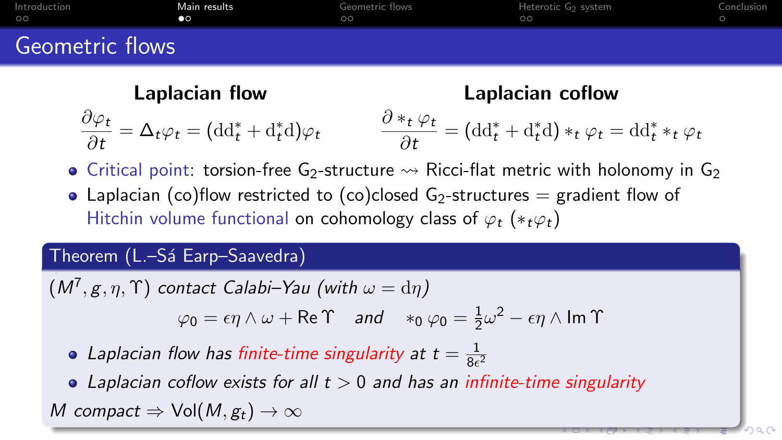<span id="page-3-0"></span>

| Introduction    | Main results | Geometric flows | Heterotic G2 system | Conclusion |
|-----------------|--------------|-----------------|---------------------|------------|
| $\circ$         | $\bullet$    | ററ              | ററ                  |            |
| Geometric flows |              |                 |                     |            |

Laplacian flow Laplacian coflow  $\partial \varphi_t$  $\frac{\partial \varphi_t}{\partial t} = \Delta_t \varphi_t = (\mathrm{dd}_t^* + \mathrm{d}_t^* \mathrm{d}) \varphi_t$  $\partial *_t \varphi_t$  $\frac{\partial^* t}{\partial t} = (\mathrm{dd}_t^* + \mathrm{d}_t^* \mathrm{d}) *_t \varphi_t = \mathrm{dd}_t^* *_t \varphi_t$ 

- Critical point: torsion-free G<sub>2</sub>-structure  $\rightarrow \rightarrow$  Ricci-flat metric with holonomy in G<sub>2</sub>
- Laplacian (co)flow restricted to (co)closed  $G_2$ -structures = gradient flow of Hitchin volume functional on cohomology class of  $\varphi_t$  (\* $_t\varphi_t$ )

#### Theorem (L.–Sá Earp–Saavedra)

$$
(M7, g, \eta, \Upsilon) \text{ contact Calabi-Yau (with } \omega = d\eta)
$$
  

$$
\varphi_0 = \epsilon \eta \wedge \omega + \text{Re}\Upsilon \text{ and } *_{0} \varphi_0 = \frac{1}{2}\omega^2 - \epsilon \eta \wedge \text{Im}\Upsilon
$$

Laplacian flow has finite-time singularity at  $t = \frac{1}{8\epsilon}$  $\overline{8\epsilon^2}$ 

• Laplacian coflow exists for all  $t > 0$  and has an infinite-time singularity M compact  $\Rightarrow$  Vol(M,  $g_t$ )  $\rightarrow \infty$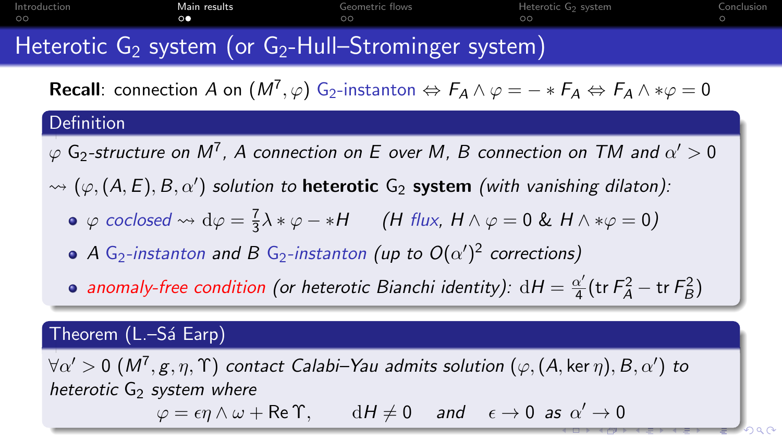<span id="page-4-0"></span>[Introduction](#page-1-0) [Main results](#page-3-0) [Geometric flows](#page-5-0) [Heterotic G](#page-7-0)2 system [Conclusion](#page-9-0)

# Heterotic  $G_2$  system (or  $G_2$ -Hull–Strominger system)

**Recall**: connection A on  $(M^7,\varphi)$  G<sub>2</sub>-instanton  $\Leftrightarrow F_A \wedge \varphi = -*F_A \Leftrightarrow F_A \wedge *\varphi = 0$ 

#### Definition

 $\varphi$  G<sub>2</sub>-structure on  $M^7$ , A connection on E over M, B connection on TM and  $\alpha'>0$ 

 $\rightsquigarrow (\varphi, (A, E), B, \alpha')$  solution to heterotic  ${\sf G}_2$  system (with vanishing dilaton):

- $\varphi$  coclosed  $\leadsto d\varphi = \frac{7}{3}$  $\frac{1}{3}\lambda * \varphi - *H$  (H flux,  $H \wedge \varphi = 0$  &  $H \wedge * \varphi = 0$ )
- A G<sub>2</sub>-instanton and B G<sub>2</sub>-instanton (up to  $O(\alpha')^2$  corrections)
- anomaly-free condition (or heterotic Bianchi identity):  $dH = \frac{\alpha'}{4}$  $\frac{\alpha'}{4}$ (tr $F_A^2$  – tr $F_B^2$ )

#### Theorem (L.–Sá Earp)

 $\forall \alpha' > 0 \; (M^7, g, \eta, \Upsilon)$  contact Calabi–Yau admits solution  $(\varphi, (A,\ker \eta), B, \alpha')$  to heterotic  $G_2$  system where  $\varphi = \epsilon \eta \wedge \omega + {\sf Re} \, \Upsilon, \qquad {\rm d} H \neq 0 \quad \textit{and} \quad \epsilon \to 0 \, \textit{ as} \, \, \alpha' \to 0$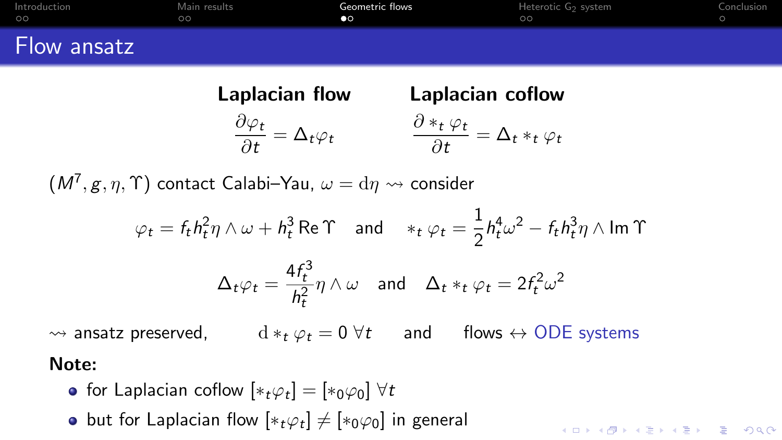<span id="page-5-0"></span>

| Introduction | Main results | Geometric flows | Heterotic G2 system | Conclusion |
|--------------|--------------|-----------------|---------------------|------------|
| $\circ$      | ററ           | $\bullet$       | $\circ$             |            |
| Flow ansatz  |              |                 |                     |            |

| Laplacian flow                                               | Laplacian coflow                                                     |
|--------------------------------------------------------------|----------------------------------------------------------------------|
| $\frac{\partial \varphi_t}{\partial t} = \Delta_t \varphi_t$ | $\frac{\partial *_t \varphi_t}{\partial t} = \Delta_t *_t \varphi_t$ |

 $(M^7,g,\eta,\Upsilon)$  contact Calabi–Yau,  $\omega = \mathrm{d}\eta \leadsto$  consider

$$
\varphi_t = f_t h_t^2 \eta \wedge \omega + h_t^3 \operatorname{Re} \Upsilon \quad \text{and} \quad *_t \varphi_t = \frac{1}{2} h_t^4 \omega^2 - f_t h_t^3 \eta \wedge \operatorname{Im} \Upsilon
$$

$$
\Delta_t \varphi_t = \frac{4f_t^3}{h_t^2} \eta \wedge \omega \quad \text{and} \quad \Delta_t *_t \varphi_t = 2f_t^2 \omega^2
$$

KO K K Ø K K E K K E K V K K K K K K K K K

 $\rightsquigarrow$  ansatz preserved,  $d *_{t} \varphi_{t} = 0 \ \forall t$  and flows  $\leftrightarrow$  ODE systems

#### Note:

- for Laplacian coflow  $[*_t\varphi_t] = [*_0\varphi_0] \,\, \forall t$
- but for Laplacian flow  $[\ast_t \varphi_t] \neq [\ast_0 \varphi_0]$  in general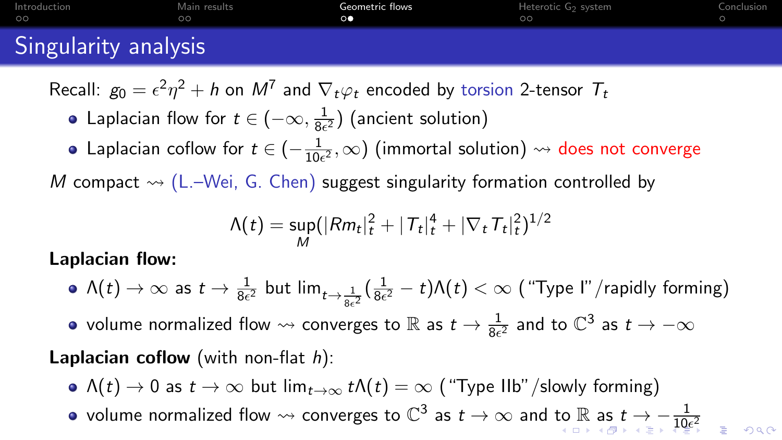<span id="page-6-0"></span>

| Introduction         | Main results | Geometric flows | Heterotic G2 system | Conclusion |
|----------------------|--------------|-----------------|---------------------|------------|
| $\circ$              |              |                 | oc                  |            |
| Singularity analysis |              |                 |                     |            |

Recall:  $g_0 = \epsilon^2 \eta^2 + h$  on  $M^7$  and  $\nabla_t \varphi_t$  encoded by torsion 2-tensor  ${\mathcal T}_t$ 

- Laplacian flow for  $t\in(-\infty,\frac{1}{8\epsilon})$  $\frac{1}{8\epsilon^2}$ ) (ancient solution)
- Laplacian coflow for  $t \in (-\frac{1}{100})$  $\frac{1}{10\epsilon^2},\infty$ ) (immortal solution)  $\leadsto$  does not converge

M compact  $\rightsquigarrow$  (L.–Wei, G. Chen) suggest singularity formation controlled by

$$
\Lambda(t) = \sup_M (|Rm_t|_t^2 + |T_t|_t^4 + |\nabla_t T_t|_t^2)^{1/2}
$$

Laplacian flow:

- $\Lambda(t)\to\infty$  as  $t\to\frac{1}{8\epsilon^2}$  but  $\lim_{t\to\frac{1}{8\epsilon^2}}(\frac{1}{8\epsilon}$  $\frac{1}{8\epsilon^2} - t$ ) $\Lambda(t) < \infty$  ("Type I"/rapidly forming)
- volume normalized flow  $\rightsquigarrow$  converges to  $\R$  as  $t\to \frac{1}{8\epsilon^2}$  and to  $\mathbb{C}^3$  as  $t\to -\infty$

#### **Laplacian coflow** (with non-flat  $h$ ):

- $\Lambda(t) \to 0$  as  $t \to \infty$  but  $\lim_{t \to \infty} t \Lambda(t) = \infty$  ("Type IIb"/slowly forming)
- volume norm[a](#page-5-0)lized flow  $\rightsquigarrow$  $\rightsquigarrow$  $\rightsquigarrow$  converges [to](#page-5-0)  $\mathbb{C}^3$  $\mathbb{C}^3$  $\mathbb{C}^3$  as  $t\to\infty$  and to  $\mathbb{R}$  as  $t\to -\frac{1}{10\epsilon^2}$  $t\to -\frac{1}{10\epsilon^2}$  $t\to -\frac{1}{10\epsilon^2}$  $t\to -\frac{1}{10\epsilon^2}$  $t\to -\frac{1}{10\epsilon^2}$  $t\to -\frac{1}{10\epsilon^2}$  $t\to -\frac{1}{10\epsilon^2}$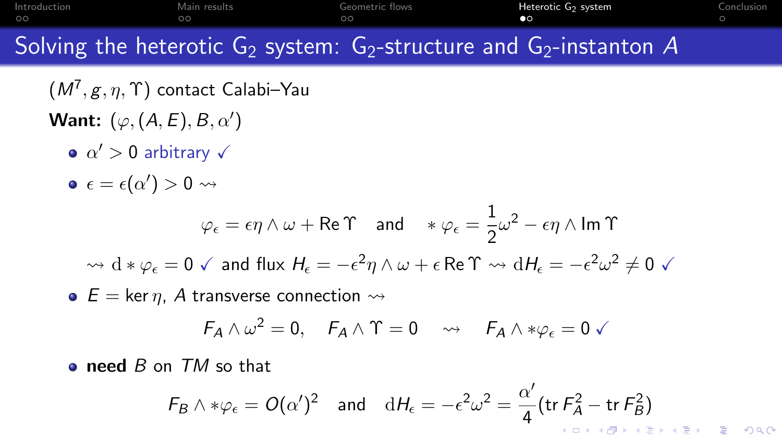<span id="page-7-0"></span>[Introduction](#page-1-0) [Main results](#page-3-0) [Geometric flows](#page-5-0) [Heterotic G](#page-7-0)2 system [Conclusion](#page-9-0)

Solving the heterotic  $G_2$  system:  $G_2$ -structure and  $G_2$ -instanton A

 $(M^7,g,\eta,\Upsilon)$  contact Calabi–Yau Want:  $(\varphi, (A, E), B, \alpha')$ 

- $\alpha' > 0$  arbitrary  $\sqrt{ }$
- $\epsilon = \epsilon(\alpha') > 0 \leadsto$

$$
\varphi_{\epsilon} = \epsilon \eta \wedge \omega + \text{Re} \Upsilon \quad \text{and} \quad * \varphi_{\epsilon} = \frac{1}{2} \omega^2 - \epsilon \eta \wedge \text{Im} \Upsilon
$$

$$
\leadsto d * \varphi_{\epsilon} = 0 \quad \text{and} \quad \text{flux } H_{\epsilon} = -\epsilon^2 \eta \wedge \omega + \epsilon \text{Re} \Upsilon \quad \leadsto \, dH_{\epsilon} = -\epsilon^2 \omega^2 \neq 0 \quad \text{for} \quad \text{and} \quad \text{for } \epsilon \in \mathbb{R}.
$$

 $\bullet$  E = ker  $\eta$ , A transverse connection  $\rightsquigarrow$ 

$$
F_A \wedge \omega^2 = 0, \quad F_A \wedge \Upsilon = 0 \quad \leadsto \quad F_A \wedge * \varphi_{\epsilon} = 0 \checkmark
$$

**o** need B on TM so that

$$
F_B \wedge * \varphi_{\epsilon} = O(\alpha')^2 \quad \text{and} \quad dH_{\epsilon} = -\epsilon^2 \omega^2 = \frac{\alpha'}{4} \left( \text{tr } F_A^2 - \text{tr } F_B^2 \right)
$$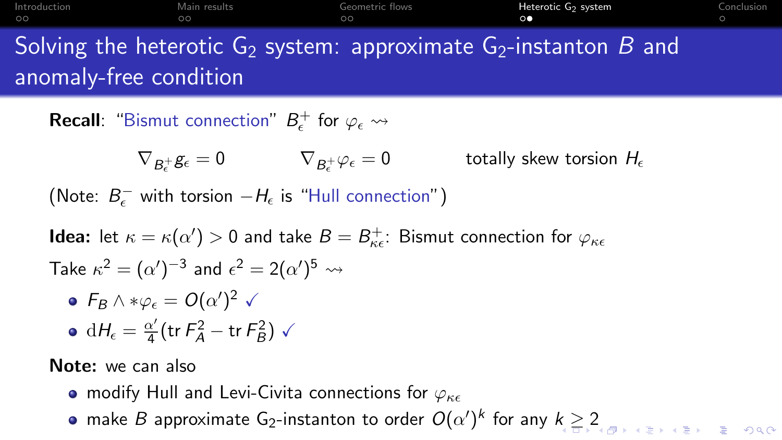| Introduction | Main results | Geometric flows | Heterotic G <sub>2</sub> system | Conclusion |
|--------------|--------------|-----------------|---------------------------------|------------|
| $\circ$      | ne           | 00              |                                 |            |

# Solving the heterotic  $G_2$  system: approximate  $G_2$ -instanton B and anomaly-free condition

**Recall**: "Bismut connection"  $B_{\epsilon}^{+}$  for  $\varphi_{\epsilon} \rightsquigarrow$ 

 $\nabla_{B_\epsilon^+} g_\epsilon = 0 \qquad \qquad \nabla_{B_\epsilon^+}$ totally skew torsion  $H_{\epsilon}$ 

(Note:  $B_{\epsilon}^-$  with torsion  $-H_{\epsilon}$  is "Hull connection")

**Idea:** let  $\kappa = \kappa(\alpha') > 0$  and take  $B = B_{\kappa\epsilon}^+$ : Bismut connection for  $\varphi_{\kappa\epsilon}$ Take  $\kappa^2 = (\alpha')^{-3}$  and  $\epsilon^2 = 2(\alpha')^5 \rightsquigarrow$  $F_B \wedge * \varphi_\epsilon = O(\alpha')^2 \checkmark$  $\mathrm{d}H_\epsilon=\frac{\alpha'}{4}$  $\frac{\alpha'}{4}$ (tr $F_A^2$  – tr $F_B^2$ )  $\checkmark$ 

Note: we can also

- modify Hull and Levi-Civita connections for  $\varphi_{\kappa\epsilon}$
- ma[k](#page-7-0)e  $B$  approximate G $_2$  $_2$ -instanton to order  $O(\alpha')^k$  for any  $k\geq 2$